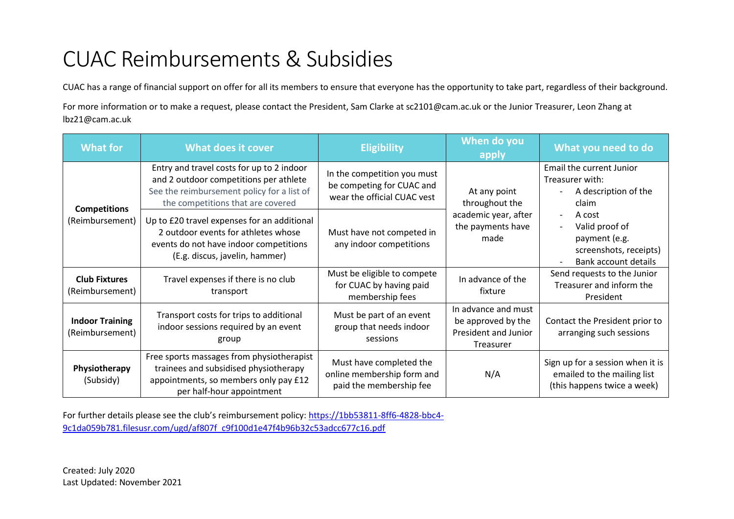## CUAC Reimbursements & Subsidies

CUAC has a range of financial support on offer for all its members to ensure that everyone has the opportunity to take part, regardless of their background.

For more information or to make a request, please contact the President, Sam Clarke at sc2101@cam.ac.uk or the Junior Treasurer, Leon Zhang at lbz21@cam.ac.uk

| <b>What for</b>                           | <b>What does it cover</b>                                                                                                                                              | <b>Eligibility</b>                                                                      | When do you<br>apply                                                           | What you need to do                                                                            |                                                                                                                                |
|-------------------------------------------|------------------------------------------------------------------------------------------------------------------------------------------------------------------------|-----------------------------------------------------------------------------------------|--------------------------------------------------------------------------------|------------------------------------------------------------------------------------------------|--------------------------------------------------------------------------------------------------------------------------------|
|                                           | Entry and travel costs for up to 2 indoor<br>and 2 outdoor competitions per athlete<br>See the reimbursement policy for a list of<br>the competitions that are covered | In the competition you must<br>be competing for CUAC and<br>wear the official CUAC vest | At any point<br>throughout the                                                 | Email the current Junior<br>Treasurer with:<br>A description of the<br>claim                   |                                                                                                                                |
| <b>Competitions</b><br>(Reimbursement)    | Up to £20 travel expenses for an additional<br>2 outdoor events for athletes whose<br>events do not have indoor competitions<br>(E.g. discus, javelin, hammer)         | Must have not competed in<br>any indoor competitions                                    | academic year, after<br>the payments have<br>made                              |                                                                                                | A cost<br>Valid proof of<br>payment (e.g.<br>screenshots, receipts)<br><b>Bank account details</b><br>$\overline{\phantom{a}}$ |
| <b>Club Fixtures</b><br>(Reimbursement)   | Travel expenses if there is no club<br>transport                                                                                                                       | Must be eligible to compete<br>for CUAC by having paid<br>membership fees               | In advance of the<br>fixture                                                   | Send requests to the Junior<br>Treasurer and inform the<br>President                           |                                                                                                                                |
| <b>Indoor Training</b><br>(Reimbursement) | Transport costs for trips to additional<br>indoor sessions required by an event<br>group                                                                               | Must be part of an event<br>group that needs indoor<br>sessions                         | In advance and must<br>be approved by the<br>President and Junior<br>Treasurer | Contact the President prior to<br>arranging such sessions                                      |                                                                                                                                |
| Physiotherapy<br>(Subsidy)                | Free sports massages from physiotherapist<br>trainees and subsidised physiotherapy<br>appointments, so members only pay £12<br>per half-hour appointment               | Must have completed the<br>online membership form and<br>paid the membership fee        | N/A                                                                            | Sign up for a session when it is<br>emailed to the mailing list<br>(this happens twice a week) |                                                                                                                                |

For further details please see the club's reimbursement policy: [https://1bb53811-8ff6-4828-bbc4-](https://1bb53811-8ff6-4828-bbc4-9c1da059b781.filesusr.com/ugd/af807f_c9f100d1e47f4b96b32c53adcc677c16.pdf) [9c1da059b781.filesusr.com/ugd/af807f\\_c9f100d1e47f4b96b32c53adcc677c16.pdf](https://1bb53811-8ff6-4828-bbc4-9c1da059b781.filesusr.com/ugd/af807f_c9f100d1e47f4b96b32c53adcc677c16.pdf)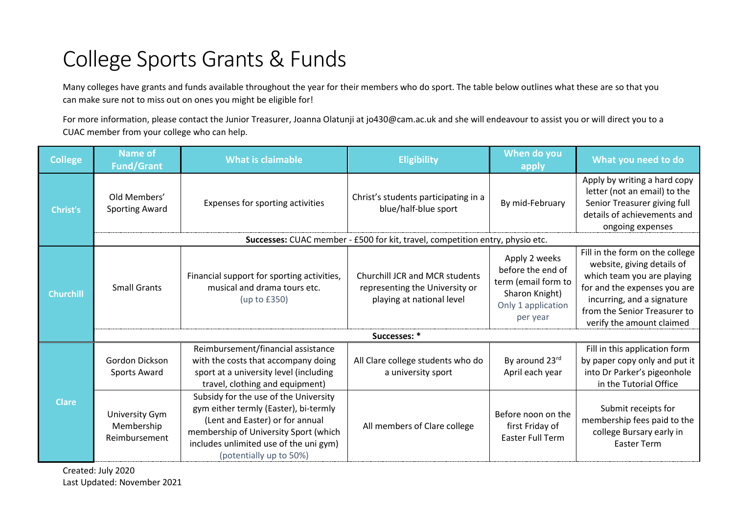# College Sports Grants & Funds

Many colleges have grants and funds available throughout the year for their members who do sport. The table below outlines what these are so that you can make sure not to miss out on ones you might be eligible for!

For more information, please contact the Junior Treasurer, Joanna Olatunji at jo430@cam.ac.uk and she will endeavour to assist you or will direct you to a CUAC member from your college who can help.

| <b>College</b>   | <b>Name of</b><br><b>Fund/Grant</b>           | <b>What is claimable</b>                                                                                                                                                                                                        | <b>Eligibility</b>                                                                                   | When do you<br>apply                                                                                          | What you need to do                                                                                                                                                                                                    |  |  |
|------------------|-----------------------------------------------|---------------------------------------------------------------------------------------------------------------------------------------------------------------------------------------------------------------------------------|------------------------------------------------------------------------------------------------------|---------------------------------------------------------------------------------------------------------------|------------------------------------------------------------------------------------------------------------------------------------------------------------------------------------------------------------------------|--|--|
| <b>Christ's</b>  | Old Members'<br><b>Sporting Award</b>         | Expenses for sporting activities                                                                                                                                                                                                | Christ's students participating in a<br>blue/half-blue sport                                         | By mid-February                                                                                               | Apply by writing a hard copy<br>letter (not an email) to the<br>Senior Treasurer giving full<br>details of achievements and<br>ongoing expenses                                                                        |  |  |
|                  |                                               |                                                                                                                                                                                                                                 | Successes: CUAC member - £500 for kit, travel, competition entry, physio etc.                        |                                                                                                               |                                                                                                                                                                                                                        |  |  |
| <b>Churchill</b> | <b>Small Grants</b>                           | Financial support for sporting activities,<br>musical and drama tours etc.<br>(up to $£350$ )                                                                                                                                   | <b>Churchill JCR and MCR students</b><br>representing the University or<br>playing at national level | Apply 2 weeks<br>before the end of<br>term (email form to<br>Sharon Knight)<br>Only 1 application<br>per year | Fill in the form on the college<br>website, giving details of<br>which team you are playing<br>for and the expenses you are<br>incurring, and a signature<br>from the Senior Treasurer to<br>verify the amount claimed |  |  |
|                  | Successes: *                                  |                                                                                                                                                                                                                                 |                                                                                                      |                                                                                                               |                                                                                                                                                                                                                        |  |  |
|                  | Gordon Dickson<br>Sports Award                | Reimbursement/financial assistance<br>with the costs that accompany doing<br>sport at a university level (including<br>travel, clothing and equipment)                                                                          | All Clare college students who do<br>a university sport                                              | By around 23rd<br>April each year                                                                             | Fill in this application form<br>by paper copy only and put it<br>into Dr Parker's pigeonhole<br>in the Tutorial Office                                                                                                |  |  |
| <b>Clare</b>     | University Gym<br>Membership<br>Reimbursement | Subsidy for the use of the University<br>gym either termly (Easter), bi-termly<br>(Lent and Easter) or for annual<br>membership of University Sport (which<br>includes unlimited use of the uni gym)<br>(potentially up to 50%) | All members of Clare college                                                                         | Before noon on the<br>first Friday of<br><b>Easter Full Term</b>                                              | Submit receipts for<br>membership fees paid to the<br>college Bursary early in<br><b>Easter Term</b>                                                                                                                   |  |  |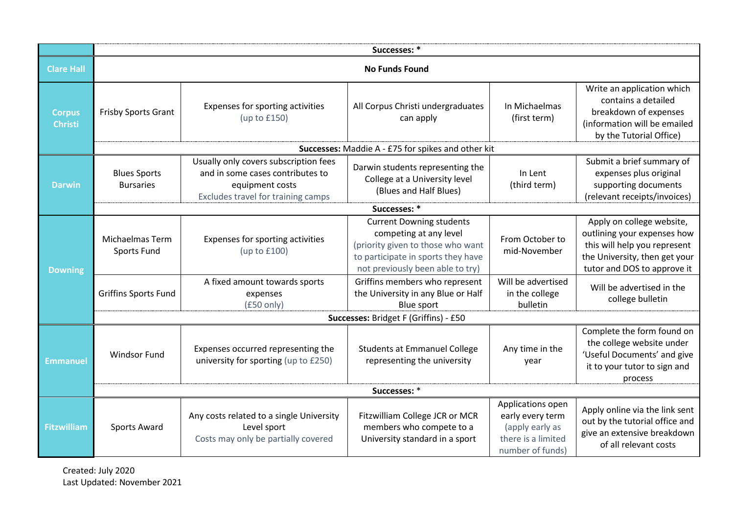|                                 | Successes: *                            |                                                                                                                                    |                                                                                                                                                                          |                                                                                                    |                                                                                                                                                          |  |  |
|---------------------------------|-----------------------------------------|------------------------------------------------------------------------------------------------------------------------------------|--------------------------------------------------------------------------------------------------------------------------------------------------------------------------|----------------------------------------------------------------------------------------------------|----------------------------------------------------------------------------------------------------------------------------------------------------------|--|--|
| <b>Clare Hall</b>               |                                         |                                                                                                                                    | <b>No Funds Found</b>                                                                                                                                                    |                                                                                                    |                                                                                                                                                          |  |  |
| <b>Corpus</b><br><b>Christi</b> | Frisby Sports Grant                     | Expenses for sporting activities<br>(up to $£150$ )                                                                                | All Corpus Christi undergraduates<br>can apply                                                                                                                           | In Michaelmas<br>(first term)                                                                      | Write an application which<br>contains a detailed<br>breakdown of expenses<br>(information will be emailed<br>by the Tutorial Office)                    |  |  |
|                                 |                                         |                                                                                                                                    | Successes: Maddie A - £75 for spikes and other kit                                                                                                                       |                                                                                                    |                                                                                                                                                          |  |  |
| <b>Darwin</b>                   | <b>Blues Sports</b><br><b>Bursaries</b> | Usually only covers subscription fees<br>and in some cases contributes to<br>equipment costs<br>Excludes travel for training camps | Darwin students representing the<br>College at a University level<br>(Blues and Half Blues)                                                                              | In Lent<br>(third term)                                                                            | Submit a brief summary of<br>expenses plus original<br>supporting documents<br>(relevant receipts/invoices)                                              |  |  |
|                                 |                                         |                                                                                                                                    | Successes: *                                                                                                                                                             |                                                                                                    |                                                                                                                                                          |  |  |
| <b>Downing</b>                  | <b>Michaelmas Term</b><br>Sports Fund   | Expenses for sporting activities<br>(up to £100)                                                                                   | <b>Current Downing students</b><br>competing at any level<br>(priority given to those who want<br>to participate in sports they have<br>not previously been able to try) | From October to<br>mid-November                                                                    | Apply on college website,<br>outlining your expenses how<br>this will help you represent<br>the University, then get your<br>tutor and DOS to approve it |  |  |
|                                 | <b>Griffins Sports Fund</b>             | A fixed amount towards sports<br>expenses<br>$(f50 \text{ only})$                                                                  | Griffins members who represent<br>the University in any Blue or Half<br><b>Blue sport</b>                                                                                | Will be advertised<br>in the college<br>bulletin                                                   | Will be advertised in the<br>college bulletin                                                                                                            |  |  |
|                                 |                                         | Successes: Bridget F (Griffins) - £50                                                                                              |                                                                                                                                                                          |                                                                                                    |                                                                                                                                                          |  |  |
| <b>Emmanuel</b>                 | Windsor Fund                            | Expenses occurred representing the<br>university for sporting (up to £250)                                                         | <b>Students at Emmanuel College</b><br>representing the university                                                                                                       | Any time in the<br>year                                                                            | Complete the form found on<br>the college website under<br>'Useful Documents' and give<br>it to your tutor to sign and<br>process                        |  |  |
|                                 | Successes: *                            |                                                                                                                                    |                                                                                                                                                                          |                                                                                                    |                                                                                                                                                          |  |  |
| <b>Fitzwilliam</b>              | <b>Sports Award</b>                     | Any costs related to a single University<br>Level sport<br>Costs may only be partially covered                                     | Fitzwilliam College JCR or MCR<br>members who compete to a<br>University standard in a sport                                                                             | Applications open<br>early every term<br>(apply early as<br>there is a limited<br>number of funds) | Apply online via the link sent<br>out by the tutorial office and<br>give an extensive breakdown<br>of all relevant costs                                 |  |  |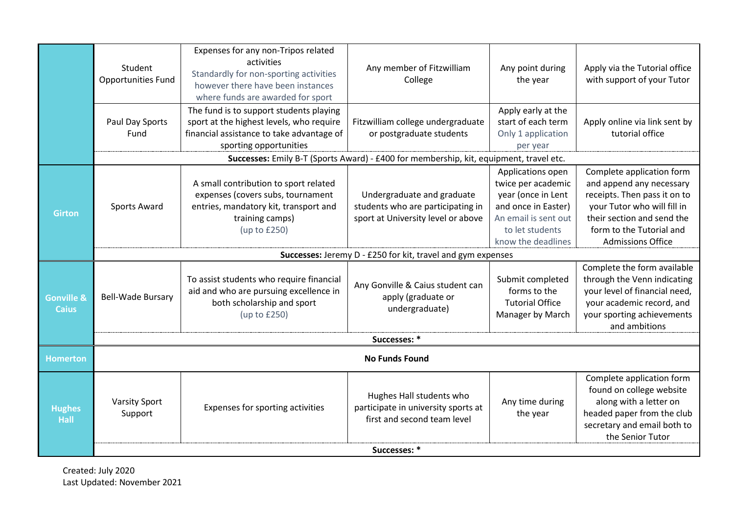|                                       | Student<br><b>Opportunities Fund</b> | Expenses for any non-Tripos related<br>activities<br>Standardly for non-sporting activities<br>however there have been instances<br>where funds are awarded for sport | Any member of Fitzwilliam<br>College                                                                  | Any point during<br>the year                                                                                                                          | Apply via the Tutorial office<br>with support of your Tutor                                                                                                                                                |  |  |  |
|---------------------------------------|--------------------------------------|-----------------------------------------------------------------------------------------------------------------------------------------------------------------------|-------------------------------------------------------------------------------------------------------|-------------------------------------------------------------------------------------------------------------------------------------------------------|------------------------------------------------------------------------------------------------------------------------------------------------------------------------------------------------------------|--|--|--|
|                                       | Paul Day Sports<br>Fund              | The fund is to support students playing<br>sport at the highest levels, who require<br>financial assistance to take advantage of<br>sporting opportunities            | Fitzwilliam college undergraduate<br>or postgraduate students                                         | Apply early at the<br>start of each term<br>Only 1 application<br>per year                                                                            | Apply online via link sent by<br>tutorial office                                                                                                                                                           |  |  |  |
|                                       |                                      |                                                                                                                                                                       | Successes: Emily B-T (Sports Award) - £400 for membership, kit, equipment, travel etc.                |                                                                                                                                                       |                                                                                                                                                                                                            |  |  |  |
| <b>Girton</b>                         | <b>Sports Award</b>                  | A small contribution to sport related<br>expenses (covers subs, tournament<br>entries, mandatory kit, transport and<br>training camps)<br>(up to £250)                | Undergraduate and graduate<br>students who are participating in<br>sport at University level or above | Applications open<br>twice per academic<br>year (once in Lent<br>and once in Easter)<br>An email is sent out<br>to let students<br>know the deadlines | Complete application form<br>and append any necessary<br>receipts. Then pass it on to<br>your Tutor who will fill in<br>their section and send the<br>form to the Tutorial and<br><b>Admissions Office</b> |  |  |  |
|                                       |                                      |                                                                                                                                                                       | Successes: Jeremy D - £250 for kit, travel and gym expenses                                           |                                                                                                                                                       |                                                                                                                                                                                                            |  |  |  |
| <b>Gonville &amp;</b><br><b>Caius</b> | <b>Bell-Wade Bursary</b>             | To assist students who require financial<br>aid and who are pursuing excellence in<br>both scholarship and sport<br>(up to £250)                                      | Any Gonville & Caius student can<br>apply (graduate or<br>undergraduate)                              | Submit completed<br>forms to the<br><b>Tutorial Office</b><br>Manager by March                                                                        | Complete the form available<br>through the Venn indicating<br>your level of financial need,<br>your academic record, and<br>your sporting achievements<br>and ambitions                                    |  |  |  |
|                                       |                                      | Successes: *                                                                                                                                                          |                                                                                                       |                                                                                                                                                       |                                                                                                                                                                                                            |  |  |  |
| <b>Homerton</b>                       | <b>No Funds Found</b>                |                                                                                                                                                                       |                                                                                                       |                                                                                                                                                       |                                                                                                                                                                                                            |  |  |  |
| <b>Hughes</b><br>Hall                 | <b>Varsity Sport</b><br>Support      | Expenses for sporting activities                                                                                                                                      | Hughes Hall students who<br>participate in university sports at<br>first and second team level        | Any time during<br>the year                                                                                                                           | Complete application form<br>found on college website<br>along with a letter on<br>headed paper from the club<br>secretary and email both to<br>the Senior Tutor                                           |  |  |  |
|                                       | Successes: *                         |                                                                                                                                                                       |                                                                                                       |                                                                                                                                                       |                                                                                                                                                                                                            |  |  |  |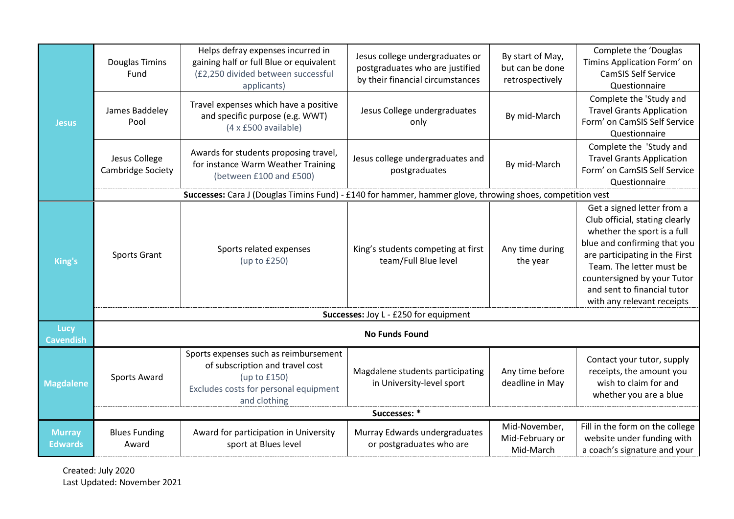|                                 | <b>Douglas Timins</b><br>Fund      | Helps defray expenses incurred in<br>gaining half or full Blue or equivalent<br>(£2,250 divided between successful<br>applicants)                 | Jesus college undergraduates or<br>postgraduates who are justified<br>by their financial circumstances | By start of May,<br>but can be done<br>retrospectively | Complete the 'Douglas<br>Timins Application Form' on<br><b>CamSIS Self Service</b><br>Questionnaire                                                                                                                                                                                   |
|---------------------------------|------------------------------------|---------------------------------------------------------------------------------------------------------------------------------------------------|--------------------------------------------------------------------------------------------------------|--------------------------------------------------------|---------------------------------------------------------------------------------------------------------------------------------------------------------------------------------------------------------------------------------------------------------------------------------------|
| <b>Jesus</b>                    | James Baddeley<br>Pool             | Travel expenses which have a positive<br>and specific purpose (e.g. WWT)<br>(4 x £500 available)                                                  | Jesus College undergraduates<br>only                                                                   | By mid-March                                           | Complete the 'Study and<br><b>Travel Grants Application</b><br>Form' on CamSIS Self Service<br>Questionnaire                                                                                                                                                                          |
|                                 | Jesus College<br>Cambridge Society | Awards for students proposing travel,<br>for instance Warm Weather Training<br>(between £100 and £500)                                            | Jesus college undergraduates and<br>postgraduates                                                      | By mid-March                                           | Complete the 'Study and<br><b>Travel Grants Application</b><br>Form' on CamSIS Self Service<br>Questionnaire                                                                                                                                                                          |
|                                 |                                    | Successes: Cara J (Douglas Timins Fund) - £140 for hammer, hammer glove, throwing shoes, competition vest                                         |                                                                                                        |                                                        |                                                                                                                                                                                                                                                                                       |
| King's                          | Sports Grant                       | Sports related expenses<br>(up to £250)                                                                                                           | King's students competing at first<br>team/Full Blue level                                             | Any time during<br>the year                            | Get a signed letter from a<br>Club official, stating clearly<br>whether the sport is a full<br>blue and confirming that you<br>are participating in the First<br>Team. The letter must be<br>countersigned by your Tutor<br>and sent to financial tutor<br>with any relevant receipts |
|                                 |                                    |                                                                                                                                                   | Successes: Joy L - £250 for equipment                                                                  |                                                        |                                                                                                                                                                                                                                                                                       |
| Lucy<br><b>Cavendish</b>        |                                    |                                                                                                                                                   | <b>No Funds Found</b>                                                                                  |                                                        |                                                                                                                                                                                                                                                                                       |
| <b>Magdalene</b>                | <b>Sports Award</b>                | Sports expenses such as reimbursement<br>of subscription and travel cost<br>(up to £150)<br>Excludes costs for personal equipment<br>and clothing | Magdalene students participating<br>in University-level sport                                          | Any time before<br>deadline in May                     | Contact your tutor, supply<br>receipts, the amount you<br>wish to claim for and<br>whether you are a blue                                                                                                                                                                             |
|                                 |                                    |                                                                                                                                                   | Successes: *                                                                                           |                                                        |                                                                                                                                                                                                                                                                                       |
| <b>Murray</b><br><b>Edwards</b> | <b>Blues Funding</b><br>Award      | Award for participation in University<br>sport at Blues level                                                                                     | Murray Edwards undergraduates<br>or postgraduates who are                                              | Mid-November,<br>Mid-February or<br>Mid-March          | Fill in the form on the college<br>website under funding with<br>a coach's signature and your                                                                                                                                                                                         |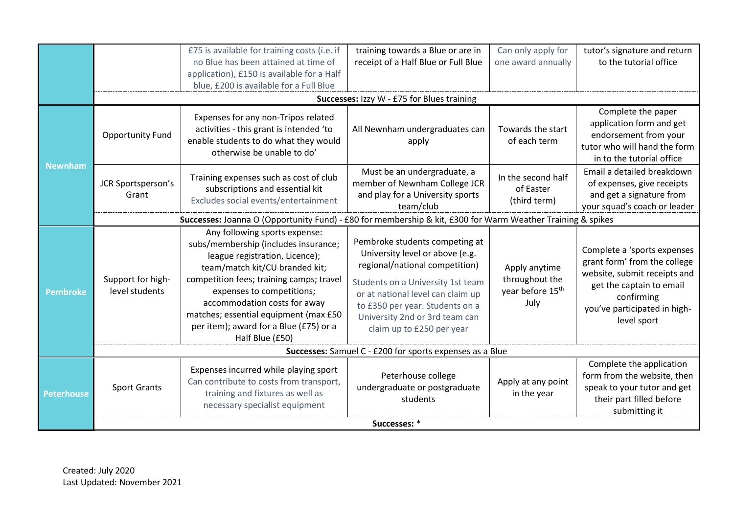|                   |                                                                                                            | £75 is available for training costs (i.e. if<br>no Blue has been attained at time of<br>application), £150 is available for a Half<br>blue, £200 is available for a Full Blue                                                                                                                                                                            | training towards a Blue or are in<br>receipt of a Half Blue or Full Blue                                                                                                                                                                                                        | Can only apply for<br>one award annually                                | tutor's signature and return<br>to the tutorial office                                                                                                                               |  |
|-------------------|------------------------------------------------------------------------------------------------------------|----------------------------------------------------------------------------------------------------------------------------------------------------------------------------------------------------------------------------------------------------------------------------------------------------------------------------------------------------------|---------------------------------------------------------------------------------------------------------------------------------------------------------------------------------------------------------------------------------------------------------------------------------|-------------------------------------------------------------------------|--------------------------------------------------------------------------------------------------------------------------------------------------------------------------------------|--|
|                   |                                                                                                            |                                                                                                                                                                                                                                                                                                                                                          | Successes: Izzy W - £75 for Blues training                                                                                                                                                                                                                                      |                                                                         |                                                                                                                                                                                      |  |
|                   | <b>Opportunity Fund</b>                                                                                    | Expenses for any non-Tripos related<br>activities - this grant is intended 'to<br>enable students to do what they would<br>otherwise be unable to do'                                                                                                                                                                                                    | All Newnham undergraduates can<br>apply                                                                                                                                                                                                                                         | Towards the start<br>of each term                                       | Complete the paper<br>application form and get<br>endorsement from your<br>tutor who will hand the form<br>in to the tutorial office                                                 |  |
| <b>Newnham</b>    | JCR Sportsperson's<br>Grant                                                                                | Training expenses such as cost of club<br>subscriptions and essential kit<br>Excludes social events/entertainment                                                                                                                                                                                                                                        | Must be an undergraduate, a<br>member of Newnham College JCR<br>and play for a University sports<br>team/club                                                                                                                                                                   | In the second half<br>of Easter<br>(third term)                         | Email a detailed breakdown<br>of expenses, give receipts<br>and get a signature from<br>your squad's coach or leader                                                                 |  |
|                   | Successes: Joanna O (Opportunity Fund) - £80 for membership & kit, £300 for Warm Weather Training & spikes |                                                                                                                                                                                                                                                                                                                                                          |                                                                                                                                                                                                                                                                                 |                                                                         |                                                                                                                                                                                      |  |
| <b>Pembroke</b>   | Support for high-<br>level students                                                                        | Any following sports expense:<br>subs/membership (includes insurance;<br>league registration, Licence);<br>team/match kit/CU branded kit;<br>competition fees; training camps; travel<br>expenses to competitions;<br>accommodation costs for away<br>matches; essential equipment (max £50<br>per item); award for a Blue (£75) or a<br>Half Blue (£50) | Pembroke students competing at<br>University level or above (e.g.<br>regional/national competition)<br>Students on a University 1st team<br>or at national level can claim up<br>to £350 per year. Students on a<br>University 2nd or 3rd team can<br>claim up to £250 per year | Apply anytime<br>throughout the<br>year before 15 <sup>th</sup><br>July | Complete a 'sports expenses<br>grant form' from the college<br>website, submit receipts and<br>get the captain to email<br>confirming<br>you've participated in high-<br>level sport |  |
|                   | Successes: Samuel C - £200 for sports expenses as a Blue                                                   |                                                                                                                                                                                                                                                                                                                                                          |                                                                                                                                                                                                                                                                                 |                                                                         |                                                                                                                                                                                      |  |
| <b>Peterhouse</b> | <b>Sport Grants</b>                                                                                        | Expenses incurred while playing sport<br>Can contribute to costs from transport,<br>training and fixtures as well as<br>necessary specialist equipment                                                                                                                                                                                                   | Peterhouse college<br>undergraduate or postgraduate<br>students                                                                                                                                                                                                                 | Apply at any point<br>in the year                                       | Complete the application<br>form from the website, then<br>speak to your tutor and get<br>their part filled before<br>submitting it                                                  |  |
|                   |                                                                                                            |                                                                                                                                                                                                                                                                                                                                                          | Successes: *                                                                                                                                                                                                                                                                    |                                                                         |                                                                                                                                                                                      |  |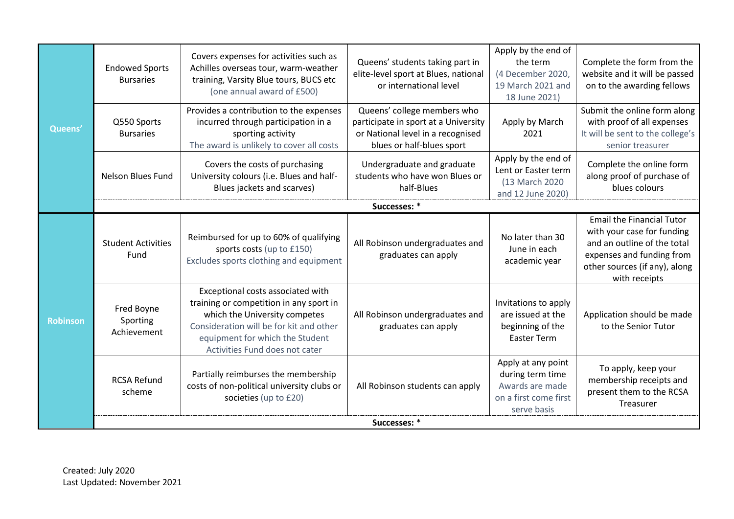| Queens'         | <b>Endowed Sports</b><br><b>Bursaries</b> | Covers expenses for activities such as<br>Achilles overseas tour, warm-weather<br>training, Varsity Blue tours, BUCS etc<br>(one annual award of £500)                                                                        | Queens' students taking part in<br>elite-level sport at Blues, national<br>or international level                                     | Apply by the end of<br>the term<br>(4 December 2020)<br>19 March 2021 and<br>18 June 2021)        | Complete the form from the<br>website and it will be passed<br>on to the awarding fellows                                                                                    |  |  |
|-----------------|-------------------------------------------|-------------------------------------------------------------------------------------------------------------------------------------------------------------------------------------------------------------------------------|---------------------------------------------------------------------------------------------------------------------------------------|---------------------------------------------------------------------------------------------------|------------------------------------------------------------------------------------------------------------------------------------------------------------------------------|--|--|
|                 | Q550 Sports<br><b>Bursaries</b>           | Provides a contribution to the expenses<br>incurred through participation in a<br>sporting activity<br>The award is unlikely to cover all costs                                                                               | Queens' college members who<br>participate in sport at a University<br>or National level in a recognised<br>blues or half-blues sport | Apply by March<br>2021                                                                            | Submit the online form along<br>with proof of all expenses<br>It will be sent to the college's<br>senior treasurer                                                           |  |  |
|                 | <b>Nelson Blues Fund</b>                  | Covers the costs of purchasing<br>University colours (i.e. Blues and half-<br>Blues jackets and scarves)                                                                                                                      | Undergraduate and graduate<br>students who have won Blues or<br>half-Blues                                                            | Apply by the end of<br>Lent or Easter term<br>(13 March 2020)<br>and 12 June 2020)                | Complete the online form<br>along proof of purchase of<br>blues colours                                                                                                      |  |  |
|                 |                                           | Successes: *                                                                                                                                                                                                                  |                                                                                                                                       |                                                                                                   |                                                                                                                                                                              |  |  |
| <b>Robinson</b> | <b>Student Activities</b><br>Fund         | Reimbursed for up to 60% of qualifying<br>sports costs (up to £150)<br>Excludes sports clothing and equipment                                                                                                                 | All Robinson undergraduates and<br>graduates can apply                                                                                | No later than 30<br>June in each<br>academic year                                                 | <b>Email the Financial Tutor</b><br>with your case for funding<br>and an outline of the total<br>expenses and funding from<br>other sources (if any), along<br>with receipts |  |  |
|                 | Fred Boyne<br>Sporting<br>Achievement     | Exceptional costs associated with<br>training or competition in any sport in<br>which the University competes<br>Consideration will be for kit and other<br>equipment for which the Student<br>Activities Fund does not cater | All Robinson undergraduates and<br>graduates can apply                                                                                | Invitations to apply<br>are issued at the<br>beginning of the<br><b>Easter Term</b>               | Application should be made<br>to the Senior Tutor                                                                                                                            |  |  |
|                 | <b>RCSA Refund</b><br>scheme              | Partially reimburses the membership<br>costs of non-political university clubs or<br>societies (up to £20)                                                                                                                    | All Robinson students can apply                                                                                                       | Apply at any point<br>during term time<br>Awards are made<br>on a first come first<br>serve basis | To apply, keep your<br>membership receipts and<br>present them to the RCSA<br>Treasurer                                                                                      |  |  |
|                 | Successes: *                              |                                                                                                                                                                                                                               |                                                                                                                                       |                                                                                                   |                                                                                                                                                                              |  |  |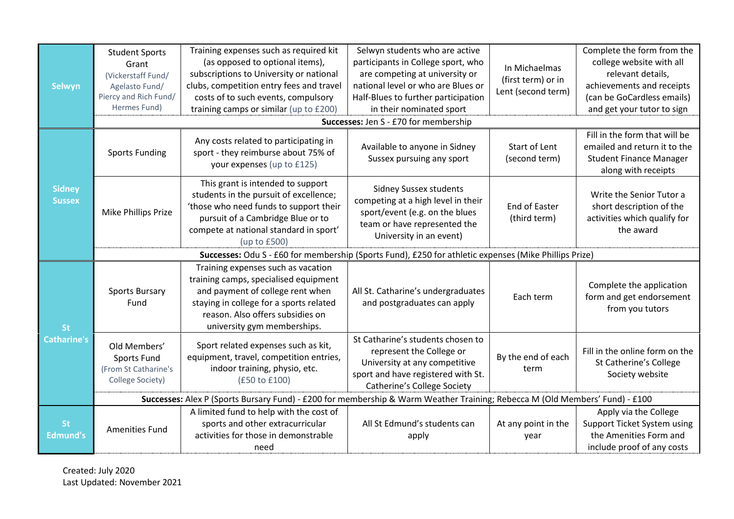| <b>Selwyn</b>                  | <b>Student Sports</b><br>Grant<br>(Vickerstaff Fund/<br>Agelasto Fund/<br>Piercy and Rich Fund/<br>Hermes Fund) | Training expenses such as required kit<br>(as opposed to optional items),<br>subscriptions to University or national<br>clubs, competition entry fees and travel<br>costs of to such events, compulsory<br>training camps or similar (up to £200) | Selwyn students who are active<br>participants in College sport, who<br>are competing at university or<br>national level or who are Blues or<br>Half-Blues to further participation<br>in their nominated sport | In Michaelmas<br>(first term) or in<br>Lent (second term) | Complete the form from the<br>college website with all<br>relevant details,<br>achievements and receipts<br>(can be GoCardless emails)<br>and get your tutor to sign |  |  |
|--------------------------------|-----------------------------------------------------------------------------------------------------------------|---------------------------------------------------------------------------------------------------------------------------------------------------------------------------------------------------------------------------------------------------|-----------------------------------------------------------------------------------------------------------------------------------------------------------------------------------------------------------------|-----------------------------------------------------------|----------------------------------------------------------------------------------------------------------------------------------------------------------------------|--|--|
|                                |                                                                                                                 |                                                                                                                                                                                                                                                   | Successes: Jen S - £70 for membership                                                                                                                                                                           |                                                           |                                                                                                                                                                      |  |  |
|                                | <b>Sports Funding</b>                                                                                           | Any costs related to participating in<br>sport - they reimburse about 75% of<br>your expenses (up to £125)                                                                                                                                        | Available to anyone in Sidney<br>Sussex pursuing any sport                                                                                                                                                      | Start of Lent<br>(second term)                            | Fill in the form that will be<br>emailed and return it to the<br><b>Student Finance Manager</b><br>along with receipts                                               |  |  |
| <b>Sidney</b><br><b>Sussex</b> | Mike Phillips Prize                                                                                             | This grant is intended to support<br>students in the pursuit of excellence;<br>'those who need funds to support their<br>pursuit of a Cambridge Blue or to<br>compete at national standard in sport'<br>(up to £500)                              | <b>Sidney Sussex students</b><br>competing at a high level in their<br>sport/event (e.g. on the blues<br>team or have represented the<br>University in an event)                                                | <b>End of Easter</b><br>(third term)                      | Write the Senior Tutor a<br>short description of the<br>activities which qualify for<br>the award                                                                    |  |  |
|                                | Successes: Odu S - £60 for membership (Sports Fund), £250 for athletic expenses (Mike Phillips Prize)           |                                                                                                                                                                                                                                                   |                                                                                                                                                                                                                 |                                                           |                                                                                                                                                                      |  |  |
| <b>St</b>                      | <b>Sports Bursary</b><br>Fund                                                                                   | Training expenses such as vacation<br>training camps, specialised equipment<br>and payment of college rent when<br>staying in college for a sports related<br>reason. Also offers subsidies on<br>university gym memberships.                     | All St. Catharine's undergraduates<br>and postgraduates can apply                                                                                                                                               | Each term                                                 | Complete the application<br>form and get endorsement<br>from you tutors                                                                                              |  |  |
| <b>Catharine's</b>             | Old Members'<br><b>Sports Fund</b><br>(From St Catharine's<br>College Society)                                  | Sport related expenses such as kit,<br>equipment, travel, competition entries,<br>indoor training, physio, etc.<br>(£50 to £100)                                                                                                                  | St Catharine's students chosen to<br>represent the College or<br>University at any competitive<br>sport and have registered with St.<br><b>Catherine's College Society</b>                                      | By the end of each<br>term                                | Fill in the online form on the<br>St Catherine's College<br>Society website                                                                                          |  |  |
|                                |                                                                                                                 | Successes: Alex P (Sports Bursary Fund) - £200 for membership & Warm Weather Training; Rebecca M (Old Members' Fund) - £100                                                                                                                       |                                                                                                                                                                                                                 |                                                           |                                                                                                                                                                      |  |  |
| <b>St</b><br>Edmund's          | Amenities Fund                                                                                                  | A limited fund to help with the cost of<br>sports and other extracurricular<br>activities for those in demonstrable<br>need                                                                                                                       | All St Edmund's students can<br>apply                                                                                                                                                                           | At any point in the<br>year                               | Apply via the College<br>Support Ticket System using<br>the Amenities Form and<br>include proof of any costs                                                         |  |  |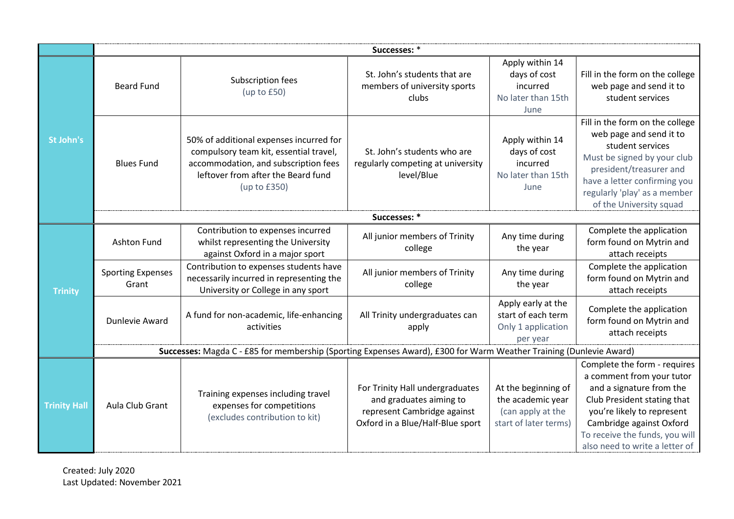|                     | Successes: *                      |                                                                                                                                                                                    |                                                                                                                               |                                                                                        |                                                                                                                                                                                                                                                    |  |
|---------------------|-----------------------------------|------------------------------------------------------------------------------------------------------------------------------------------------------------------------------------|-------------------------------------------------------------------------------------------------------------------------------|----------------------------------------------------------------------------------------|----------------------------------------------------------------------------------------------------------------------------------------------------------------------------------------------------------------------------------------------------|--|
|                     | <b>Beard Fund</b>                 | Subscription fees<br>(up to $£50$ )                                                                                                                                                | St. John's students that are<br>members of university sports<br>clubs                                                         | Apply within 14<br>days of cost<br>incurred<br>No later than 15th<br>June              | Fill in the form on the college<br>web page and send it to<br>student services                                                                                                                                                                     |  |
| St John's           | <b>Blues Fund</b>                 | 50% of additional expenses incurred for<br>compulsory team kit, essential travel,<br>accommodation, and subscription fees<br>leftover from after the Beard fund<br>(up to $£350$ ) | St. John's students who are<br>regularly competing at university<br>level/Blue                                                | Apply within 14<br>days of cost<br>incurred<br>No later than 15th<br>June              | Fill in the form on the college<br>web page and send it to<br>student services<br>Must be signed by your club<br>president/treasurer and<br>have a letter confirming you<br>regularly 'play' as a member<br>of the University squad                |  |
|                     |                                   |                                                                                                                                                                                    | Successes: *                                                                                                                  |                                                                                        |                                                                                                                                                                                                                                                    |  |
| <b>Trinity</b>      | <b>Ashton Fund</b>                | Contribution to expenses incurred<br>whilst representing the University<br>against Oxford in a major sport                                                                         | All junior members of Trinity<br>college                                                                                      | Any time during<br>the year                                                            | Complete the application<br>form found on Mytrin and<br>attach receipts                                                                                                                                                                            |  |
|                     | <b>Sporting Expenses</b><br>Grant | Contribution to expenses students have<br>necessarily incurred in representing the<br>University or College in any sport                                                           | All junior members of Trinity<br>college                                                                                      | Any time during<br>the year                                                            | Complete the application<br>form found on Mytrin and<br>attach receipts                                                                                                                                                                            |  |
|                     | Dunlevie Award                    | A fund for non-academic, life-enhancing<br>activities                                                                                                                              | All Trinity undergraduates can<br>apply                                                                                       | Apply early at the<br>start of each term<br>Only 1 application<br>per year             | Complete the application<br>form found on Mytrin and<br>attach receipts                                                                                                                                                                            |  |
|                     |                                   | Successes: Magda C - £85 for membership (Sporting Expenses Award), £300 for Warm Weather Training (Dunlevie Award)                                                                 |                                                                                                                               |                                                                                        |                                                                                                                                                                                                                                                    |  |
| <b>Trinity Hall</b> | Aula Club Grant                   | Training expenses including travel<br>expenses for competitions<br>(excludes contribution to kit)                                                                                  | For Trinity Hall undergraduates<br>and graduates aiming to<br>represent Cambridge against<br>Oxford in a Blue/Half-Blue sport | At the beginning of<br>the academic year<br>(can apply at the<br>start of later terms) | Complete the form - requires<br>a comment from your tutor<br>and a signature from the<br>Club President stating that<br>you're likely to represent<br>Cambridge against Oxford<br>To receive the funds, you will<br>also need to write a letter of |  |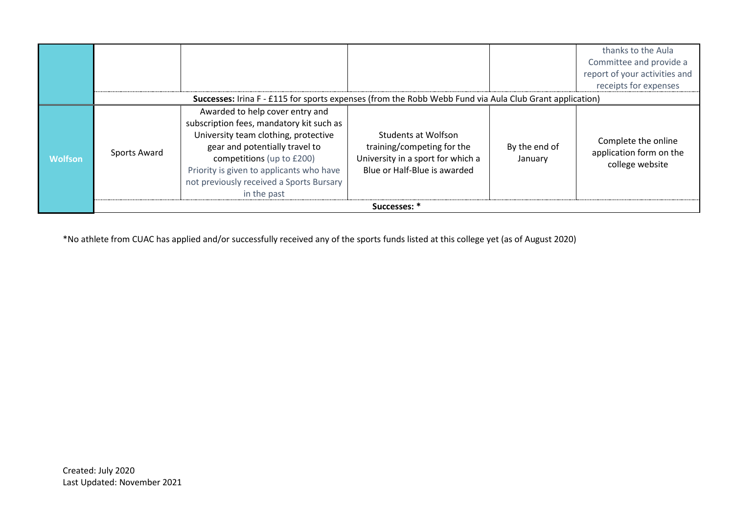|                |              |                                                                                                                                                                                                                                                                                           |                                                                                                                        |                          | thanks to the Aula<br>Committee and provide a<br>report of your activities and<br>receipts for expenses |
|----------------|--------------|-------------------------------------------------------------------------------------------------------------------------------------------------------------------------------------------------------------------------------------------------------------------------------------------|------------------------------------------------------------------------------------------------------------------------|--------------------------|---------------------------------------------------------------------------------------------------------|
|                |              | Successes: Irina F - £115 for sports expenses (from the Robb Webb Fund via Aula Club Grant application)                                                                                                                                                                                   |                                                                                                                        |                          |                                                                                                         |
| <b>Wolfson</b> | Sports Award | Awarded to help cover entry and<br>subscription fees, mandatory kit such as<br>University team clothing, protective<br>gear and potentially travel to<br>competitions (up to £200)<br>Priority is given to applicants who have<br>not previously received a Sports Bursary<br>in the past | Students at Wolfson<br>training/competing for the<br>University in a sport for which a<br>Blue or Half-Blue is awarded | By the end of<br>January | Complete the online<br>application form on the<br>college website                                       |
|                |              |                                                                                                                                                                                                                                                                                           | Successes: *                                                                                                           |                          |                                                                                                         |

\*No athlete from CUAC has applied and/or successfully received any of the sports funds listed at this college yet (as of August 2020)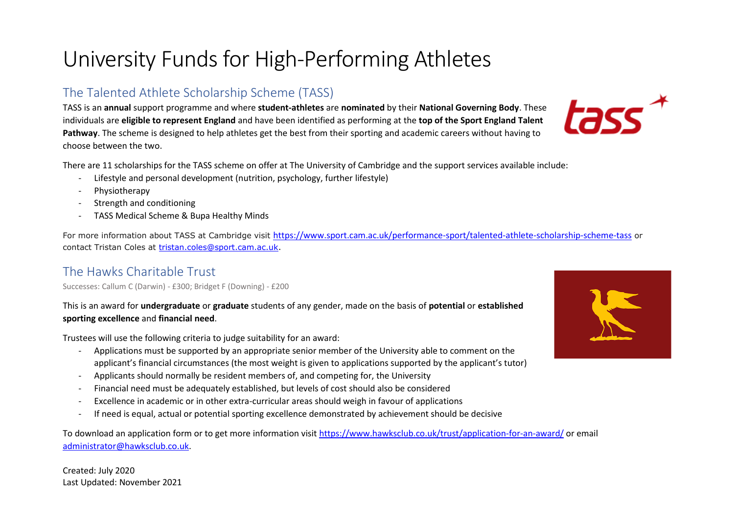### University Funds for High-Performing Athletes

#### The Talented Athlete Scholarship Scheme (TASS)

TASS is an **annual** support programme and where **student-athletes** are **nominated** by their **National Governing Body**. These individuals are **eligible to represent England** and have been identified as performing at the **top of the Sport England Talent Pathway**. The scheme is designed to help athletes get the best from their sporting and academic careers without having to choose between the two.

There are 11 scholarships for the TASS scheme on offer at The University of Cambridge and the support services available include:

- Lifestyle and personal development (nutrition, psychology, further lifestyle)
- Physiotherapy
- Strength and conditioning
- TASS Medical Scheme & Bupa Healthy Minds

For more information about TASS at Cambridge visit <https://www.sport.cam.ac.uk/performance-sport/talented-athlete-scholarship-scheme-tass> or contact Tristan Coles at [tristan.coles@sport.cam.ac.uk.](mailto:tristan.coles@sport.cam.ac.uk)

#### The Hawks Charitable Trust

Successes: Callum C (Darwin) - £300; Bridget F (Downing) - £200

This is an award for **undergraduate** or **graduate** students of any gender, made on the basis of **potential** or **established sporting excellence** and **financial need**.

Trustees will use the following criteria to judge suitability for an award:

- Applications must be supported by an appropriate senior member of the University able to comment on the applicant's financial circumstances (the most weight is given to applications supported by the applicant's tutor)
- Applicants should normally be resident members of, and competing for, the University
- Financial need must be adequately established, but levels of cost should also be considered
- Excellence in academic or in other extra-curricular areas should weigh in favour of applications
- If need is equal, actual or potential sporting excellence demonstrated by achievement should be decisive

To download an application form or to get more information visit<https://www.hawksclub.co.uk/trust/application-for-an-award/> or email [administrator@hawksclub.co.uk.](mailto:administrator@hawksclub.co.uk)



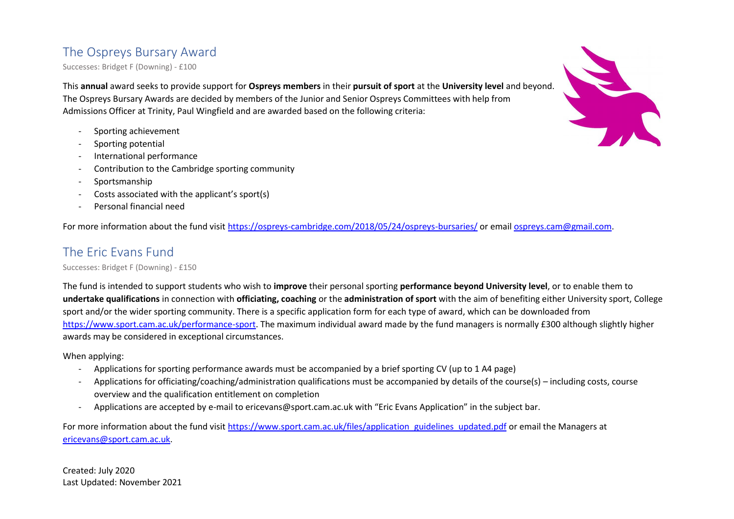#### The Ospreys Bursary Award

Successes: Bridget F (Downing) - £100

This **annual** award seeks to provide support for **Ospreys members** in their **pursuit of sport** at the **University level** and beyond. The Ospreys Bursary Awards are decided by members of the Junior and Senior Ospreys Committees with help from Admissions Officer at Trinity, Paul Wingfield and are awarded based on the following criteria:

- Sporting achievement
- Sporting potential
- International performance
- Contribution to the Cambridge sporting community
- Sportsmanship
- Costs associated with the applicant's sport(s)
- Personal financial need

For more information about the fund visit<https://ospreys-cambridge.com/2018/05/24/ospreys-bursaries/> or emai[l ospreys.cam@gmail.com.](mailto:ospreys.cam@gmail.com)

#### The Eric Evans Fund

Successes: Bridget F (Downing) - £150

The fund is intended to support students who wish to **improve** their personal sporting **performance beyond University level**, or to enable them to **undertake qualifications** in connection with **officiating, coaching** or the **administration of sport** with the aim of benefiting either University sport, College sport and/or the wider sporting community. There is a specific application form for each type of award, which can be downloaded from [https://www.sport.cam.ac.uk/performance-sport.](https://www.sport.cam.ac.uk/performance-sport) The maximum individual award made by the fund managers is normally £300 although slightly higher awards may be considered in exceptional circumstances.

When applying:

- Applications for sporting performance awards must be accompanied by a brief sporting CV (up to 1 A4 page)
- Applications for officiating/coaching/administration qualifications must be accompanied by details of the course(s) including costs, course overview and the qualification entitlement on completion
- Applications are accepted by e-mail to ericevans@sport.cam.ac.uk with "Eric Evans Application" in the subject bar.

For more information about the fund visit [https://www.sport.cam.ac.uk/files/application\\_guidelines\\_updated.pdf](https://www.sport.cam.ac.uk/files/application_guidelines_updated.pdf) or email the Managers at [ericevans@sport.cam.ac.uk.](mailto:ericevans@sport.cam.ac.uk)